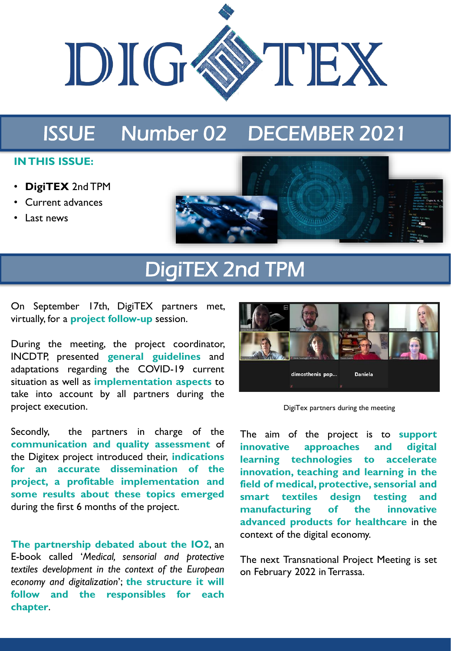

## ISSUE Number 02 DECEMBER 2021

#### **IN THIS ISSUE:**

- **DigiTEX** 2nd TPM
- Current advances
- Last news



# DigiTEX 2nd TPM

On September 17th, DigiTEX partners met, virtually, for a **project follow-up** session.

During the meeting, the project coordinator, INCDTP, presented **general guidelines** and adaptations regarding the COVID-19 current situation as well as **implementation aspects** to take into account by all partners during the project execution.

Secondly, the partners in charge of the **communication and quality assessment** of the Digitex project introduced their, **indications for an accurate dissemination of the project, a profitable implementation and some results about these topics emerged** during the first 6 months of the project.

**The partnership debated about the IO2**, an E-book called '*Medical, sensorial and protective textiles development in the context of the European economy and digitalization*'; **the structure it will follow and the responsibles for each chapter**.



DigiTex partners during the meeting

The aim of the project is to **support innovative approaches and digital learning technologies to accelerate innovation, teaching and learning in the field of medical, protective, sensorial and smart textiles design testing and manufacturing of the innovative advanced products for healthcare** in the context of the digital economy.

The next Transnational Project Meeting is set on February 2022 in Terrassa.